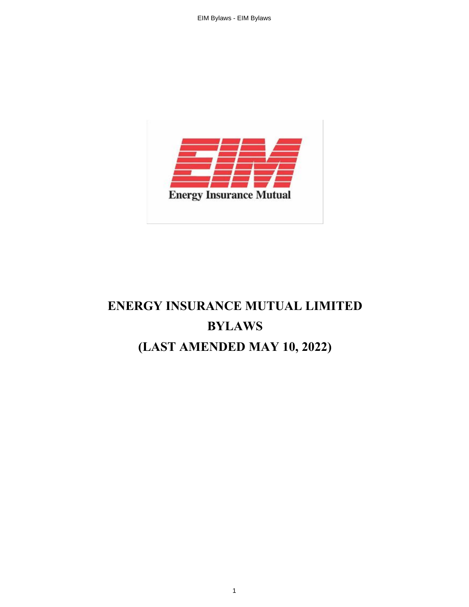

# **ENERGY INSURANCE MUTUAL LIMITED BYLAWS (LAST AMENDED MAY 10, 2022)**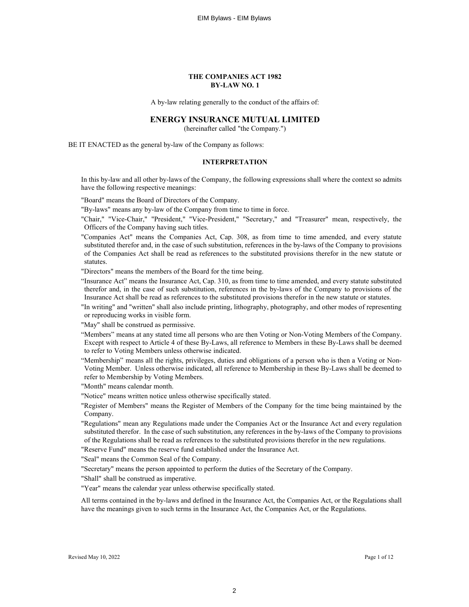#### **THE COMPANIES ACT 1982 BY-LAW NO. 1**

A by-law relating generally to the conduct of the affairs of:

#### **ENERGY INSURANCE MUTUAL LIMITED**

(hereinafter called "the Company.")

BE IT ENACTED as the general by-law of the Company as follows:

#### **INTERPRETATION**

In this by-law and all other by-laws of the Company, the following expressions shall where the context so admits have the following respective meanings:

"Board" means the Board of Directors of the Company.

- "By-laws" means any by-law of the Company from time to time in force.
- "Chair," "Vice-Chair," "President," "Vice-President," "Secretary," and "Treasurer" mean, respectively, the Officers of the Company having such titles.
- "Companies Act" means the Companies Act, Cap. 308, as from time to time amended, and every statute substituted therefor and, in the case of such substitution, references in the by-laws of the Company to provisions of the Companies Act shall be read as references to the substituted provisions therefor in the new statute or statutes.

"Directors" means the members of the Board for the time being.

"Insurance Act" means the Insurance Act, Cap. 310, as from time to time amended, and every statute substituted therefor and, in the case of such substitution, references in the by-laws of the Company to provisions of the Insurance Act shall be read as references to the substituted provisions therefor in the new statute or statutes.

"In writing" and "written" shall also include printing, lithography, photography, and other modes of representing or reproducing works in visible form.

"May" shall be construed as permissive.

- "Members" means at any stated time all persons who are then Voting or Non-Voting Members of the Company. Except with respect to Article 4 of these By-Laws, all reference to Members in these By-Laws shall be deemed to refer to Voting Members unless otherwise indicated.
- "Membership" means all the rights, privileges, duties and obligations of a person who is then a Voting or Non-Voting Member. Unless otherwise indicated, all reference to Membership in these By-Laws shall be deemed to refer to Membership by Voting Members.

"Month" means calendar month.

- "Notice" means written notice unless otherwise specifically stated.
- "Register of Members" means the Register of Members of the Company for the time being maintained by the Company.
- "Regulations" mean any Regulations made under the Companies Act or the Insurance Act and every regulation substituted therefor. In the case of such substitution, any references in the by-laws of the Company to provisions of the Regulations shall be read as references to the substituted provisions therefor in the new regulations.

"Reserve Fund" means the reserve fund established under the Insurance Act.

"Seal" means the Common Seal of the Company.

"Secretary" means the person appointed to perform the duties of the Secretary of the Company.

"Shall" shall be construed as imperative.

"Year" means the calendar year unless otherwise specifically stated.

All terms contained in the by-laws and defined in the Insurance Act, the Companies Act, or the Regulations shall have the meanings given to such terms in the Insurance Act, the Companies Act, or the Regulations.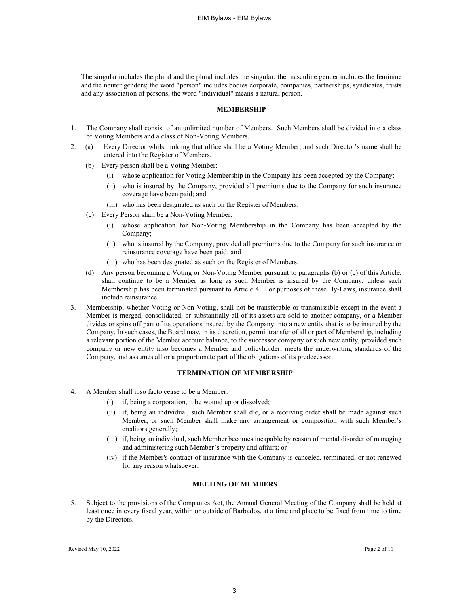The singular includes the plural and the plural includes the singular; the masculine gender includes the feminine and the neuter genders; the word "person" includes bodies corporate, companies, partnerships, syndicates, trusts and any association of persons; the word "individual" means a natural person.

#### **MEMBERSHIP**

- 1. The Company shall consist of an unlimited number of Members. Such Members shall be divided into a class of Voting Members and a class of Non-Voting Members.
- 2. (a) Every Director whilst holding that office shall be a Voting Member, and such Director's name shall be entered into the Register of Members.
	- (b) Every person shall be a Voting Member:
		- (i) whose application for Voting Membership in the Company has been accepted by the Company;
		- (ii) who is insured by the Company, provided all premiums due to the Company for such insurance coverage have been paid; and
		- (iii) who has been designated as such on the Register of Members.
	- (c) Every Person shall be a Non-Voting Member:
		- (i) whose application for Non-Voting Membership in the Company has been accepted by the Company;
		- (ii) who is insured by the Company, provided all premiums due to the Company for such insurance or reinsurance coverage have been paid; and
		- (iii) who has been designated as such on the Register of Members.
	- (d) Any person becoming a Voting or Non-Voting Member pursuant to paragraphs (b) or (c) of this Article, shall continue to be a Member as long as such Member is insured by the Company, unless such Membership has been terminated pursuant to Article 4. For purposes of these By-Laws, insurance shall include reinsurance.
- 3. Membership, whether Voting or Non-Voting, shall not be transferable or transmissible except in the event a Member is merged, consolidated, or substantially all of its assets are sold to another company, or a Member divides or spins off part of its operations insured by the Company into a new entity that is to be insured by the Company. In such cases, the Board may, in its discretion, permit transfer of all or part of Membership, including a relevant portion of the Member account balance, to the successor company or such new entity, provided such company or new entity also becomes a Member and policyholder, meets the underwriting standards of the Company, and assumes all or a proportionate part of the obligations of its predecessor.

#### **TERMINATION OF MEMBERSHIP**

- 4. A Member shall ipso facto cease to be a Member:
	- (i) if, being a corporation, it be wound up or dissolved;
	- (ii) if, being an individual, such Member shall die, or a receiving order shall be made against such Member, or such Member shall make any arrangement or composition with such Member's creditors generally;
	- (iii) if, being an individual, such Member becomes incapable by reason of mental disorder of managing and administering such Member's property and affairs; or
	- (iv) if the Member's contract of insurance with the Company is canceled, terminated, or not renewed for any reason whatsoever.

# **MEETING OF MEMBERS**

5. Subject to the provisions of the Companies Act, the Annual General Meeting of the Company shall be held at least once in every fiscal year, within or outside of Barbados, at a time and place to be fixed from time to time by the Directors.

Revised May 10, 2022 Page 2 of 11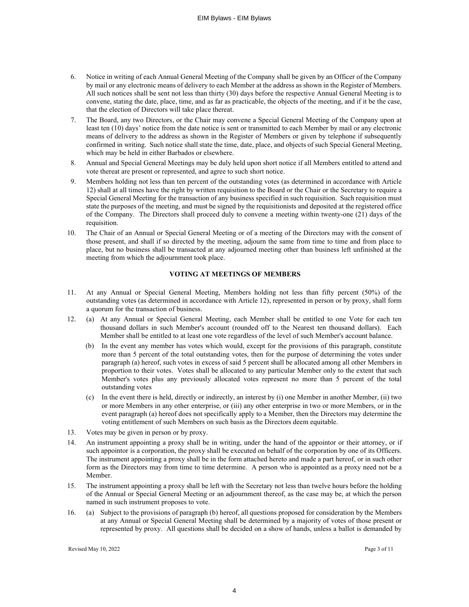- 6. Notice in writing of each Annual General Meeting of the Company shall be given by an Officer of the Company by mail or any electronic means of delivery to each Member at the address as shown in the Register of Members. All such notices shall be sent not less than thirty (30) days before the respective Annual General Meeting is to convene, stating the date, place, time, and as far as practicable, the objects of the meeting, and if it be the case, that the election of Directors will take place thereat.
- 7. The Board, any two Directors, or the Chair may convene a Special General Meeting of the Company upon at least ten (10) days' notice from the date notice is sent or transmitted to each Member by mail or any electronic means of delivery to the address as shown in the Register of Members or given by telephone if subsequently confirmed in writing. Such notice shall state the time, date, place, and objects of such Special General Meeting, which may be held in either Barbados or elsewhere.
- 8. Annual and Special General Meetings may be duly held upon short notice if all Members entitled to attend and vote thereat are present or represented, and agree to such short notice.
- 9. Members holding not less than ten percent of the outstanding votes (as determined in accordance with Article 12) shall at all times have the right by written requisition to the Board or the Chair or the Secretary to require a Special General Meeting for the transaction of any business specified in such requisition. Such requisition must state the purposes of the meeting, and must be signed by the requisitionists and deposited at the registered office of the Company. The Directors shall proceed duly to convene a meeting within twenty-one (21) days of the requisition.
- 10. The Chair of an Annual or Special General Meeting or of a meeting of the Directors may with the consent of those present, and shall if so directed by the meeting, adjourn the same from time to time and from place to place, but no business shall be transacted at any adjourned meeting other than business left unfinished at the meeting from which the adjournment took place.

# **VOTING AT MEETINGS OF MEMBERS**

- 11. At any Annual or Special General Meeting, Members holding not less than fifty percent (50%) of the outstanding votes (as determined in accordance with Article 12), represented in person or by proxy, shall form a quorum for the transaction of business.
- 12. (a) At any Annual or Special General Meeting, each Member shall be entitled to one Vote for each ten thousand dollars in such Member's account (rounded off to the Nearest ten thousand dollars). Each Member shall be entitled to at least one vote regardless of the level of such Member's account balance.
	- (b) In the event any member has votes which would, except for the provisions of this paragraph, constitute more than 5 percent of the total outstanding votes, then for the purpose of determining the votes under paragraph (a) hereof, such votes in excess of said 5 percent shall be allocated among all other Members in proportion to their votes. Votes shall be allocated to any particular Member only to the extent that such Member's votes plus any previously allocated votes represent no more than 5 percent of the total outstanding votes
	- (c) In the event there is held, directly or indirectly, an interest by (i) one Member in another Member, (ii) two or more Members in any other enterprise, or (iii) any other enterprise in two or more Members, or in the event paragraph (a) hereof does not specifically apply to a Member, then the Directors may determine the voting entitlement of such Members on such basis as the Directors deem equitable.
- 13. Votes may be given in person or by proxy.
- 14. An instrument appointing a proxy shall be in writing, under the hand of the appointor or their attorney, or if such appointor is a corporation, the proxy shall be executed on behalf of the corporation by one of its Officers. The instrument appointing a proxy shall be in the form attached hereto and made a part hereof, or in such other form as the Directors may from time to time determine. A person who is appointed as a proxy need not be a Member.
- 15. The instrument appointing a proxy shall be left with the Secretary not less than twelve hours before the holding of the Annual or Special General Meeting or an adjournment thereof, as the case may be, at which the person named in such instrument proposes to vote.
- 16. (a) Subject to the provisions of paragraph (b) hereof, all questions proposed for consideration by the Members at any Annual or Special General Meeting shall be determined by a majority of votes of those present or represented by proxy. All questions shall be decided on a show of hands, unless a ballot is demanded by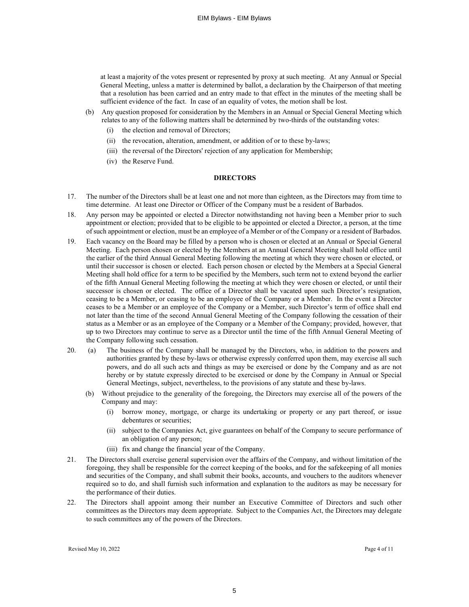at least a majority of the votes present or represented by proxy at such meeting. At any Annual or Special General Meeting, unless a matter is determined by ballot, a declaration by the Chairperson of that meeting that a resolution has been carried and an entry made to that effect in the minutes of the meeting shall be sufficient evidence of the fact. In case of an equality of votes, the motion shall be lost.

- (b) Any question proposed for consideration by the Members in an Annual or Special General Meeting which relates to any of the following matters shall be determined by two-thirds of the outstanding votes:
	- (i) the election and removal of Directors;
	- (ii) the revocation, alteration, amendment, or addition of or to these by-laws;
	- (iii) the reversal of the Directors' rejection of any application for Membership;
	- (iv) the Reserve Fund.

## **DIRECTORS**

- 17. The number of the Directors shall be at least one and not more than eighteen, as the Directors may from time to time determine. At least one Director or Officer of the Company must be a resident of Barbados.
- 18. Any person may be appointed or elected a Director notwithstanding not having been a Member prior to such appointment or election; provided that to be eligible to be appointed or elected a Director, a person, at the time of such appointment or election, must be an employee of a Member or of the Company or a resident of Barbados.
- 19. Each vacancy on the Board may be filled by a person who is chosen or elected at an Annual or Special General Meeting. Each person chosen or elected by the Members at an Annual General Meeting shall hold office until the earlier of the third Annual General Meeting following the meeting at which they were chosen or elected, or until their successor is chosen or elected. Each person chosen or elected by the Members at a Special General Meeting shall hold office for a term to be specified by the Members, such term not to extend beyond the earlier of the fifth Annual General Meeting following the meeting at which they were chosen or elected, or until their successor is chosen or elected. The office of a Director shall be vacated upon such Director's resignation, ceasing to be a Member, or ceasing to be an employee of the Company or a Member. In the event a Director ceases to be a Member or an employee of the Company or a Member, such Director's term of office shall end not later than the time of the second Annual General Meeting of the Company following the cessation of their status as a Member or as an employee of the Company or a Member of the Company; provided, however, that up to two Directors may continue to serve as a Director until the time of the fifth Annual General Meeting of the Company following such cessation.
- 20. (a) The business of the Company shall be managed by the Directors, who, in addition to the powers and authorities granted by these by-laws or otherwise expressly conferred upon them, may exercise all such powers, and do all such acts and things as may be exercised or done by the Company and as are not hereby or by statute expressly directed to be exercised or done by the Company in Annual or Special General Meetings, subject, nevertheless, to the provisions of any statute and these by-laws.
	- (b) Without prejudice to the generality of the foregoing, the Directors may exercise all of the powers of the Company and may:
		- (i) borrow money, mortgage, or charge its undertaking or property or any part thereof, or issue debentures or securities;
		- (ii) subject to the Companies Act, give guarantees on behalf of the Company to secure performance of an obligation of any person;
		- (iii) fix and change the financial year of the Company.
- 21. The Directors shall exercise general supervision over the affairs of the Company, and without limitation of the foregoing, they shall be responsible for the correct keeping of the books, and for the safekeeping of all monies and securities of the Company, and shall submit their books, accounts, and vouchers to the auditors whenever required so to do, and shall furnish such information and explanation to the auditors as may be necessary for the performance of their duties.
- 22. The Directors shall appoint among their number an Executive Committee of Directors and such other committees as the Directors may deem appropriate. Subject to the Companies Act, the Directors may delegate to such committees any of the powers of the Directors.

Revised May 10, 2022 Page 4 of 11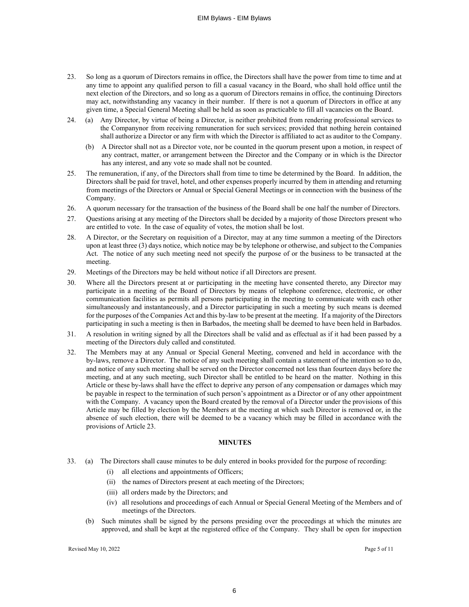- 23. So long as a quorum of Directors remains in office, the Directors shall have the power from time to time and at any time to appoint any qualified person to fill a casual vacancy in the Board, who shall hold office until the next election of the Directors, and so long as a quorum of Directors remains in office, the continuing Directors may act, notwithstanding any vacancy in their number. If there is not a quorum of Directors in office at any given time, a Special General Meeting shall be held as soon as practicable to fill all vacancies on the Board.
- 24. (a) Any Director, by virtue of being a Director, is neither prohibited from rendering professional services to the Companynor from receiving remuneration for such services; provided that nothing herein contained shall authorize a Director or any firm with which the Director is affiliated to act as auditor to the Company.
	- (b) A Director shall not as a Director vote, nor be counted in the quorum present upon a motion, in respect of any contract, matter, or arrangement between the Director and the Company or in which is the Director has any interest, and any vote so made shall not be counted.
- 25. The remuneration, if any, of the Directors shall from time to time be determined by the Board. In addition, the Directors shall be paid for travel, hotel, and other expenses properly incurred by them in attending and returning from meetings of the Directors or Annual or Special General Meetings or in connection with the business of the Company.
- 26. A quorum necessary for the transaction of the business of the Board shall be one half the number of Directors.
- 27. Questions arising at any meeting of the Directors shall be decided by a majority of those Directors present who are entitled to vote. In the case of equality of votes, the motion shall be lost.
- 28. A Director, or the Secretary on requisition of a Director, may at any time summon a meeting of the Directors upon at least three (3) days notice, which notice may be by telephone or otherwise, and subject to the Companies Act. The notice of any such meeting need not specify the purpose of or the business to be transacted at the meeting.
- 29. Meetings of the Directors may be held without notice if all Directors are present.
- 30. Where all the Directors present at or participating in the meeting have consented thereto, any Director may participate in a meeting of the Board of Directors by means of telephone conference, electronic, or other communication facilities as permits all persons participating in the meeting to communicate with each other simultaneously and instantaneously, and a Director participating in such a meeting by such means is deemed for the purposes of the Companies Act and this by-law to be present at the meeting. If a majority of the Directors participating in such a meeting is then in Barbados, the meeting shall be deemed to have been held in Barbados.
- 31. A resolution in writing signed by all the Directors shall be valid and as effectual as if it had been passed by a meeting of the Directors duly called and constituted.
- 32. The Members may at any Annual or Special General Meeting, convened and held in accordance with the by-laws, remove a Director. The notice of any such meeting shall contain a statement of the intention so to do, and notice of any such meeting shall be served on the Director concerned not less than fourteen days before the meeting, and at any such meeting, such Director shall be entitled to be heard on the matter. Nothing in this Article or these by-laws shall have the effect to deprive any person of any compensation or damages which may be payable in respect to the termination of such person's appointment as a Director or of any other appointment with the Company. A vacancy upon the Board created by the removal of a Director under the provisions of this Article may be filled by election by the Members at the meeting at which such Director is removed or, in the absence of such election, there will be deemed to be a vacancy which may be filled in accordance with the provisions of Article 23.

#### **MINUTES**

- 33. (a) The Directors shall cause minutes to be duly entered in books provided for the purpose of recording:
	- (i) all elections and appointments of Officers;
	- (ii) the names of Directors present at each meeting of the Directors;
	- (iii) all orders made by the Directors; and
	- (iv) all resolutions and proceedings of each Annual or Special General Meeting of the Members and of meetings of the Directors.
	- (b) Such minutes shall be signed by the persons presiding over the proceedings at which the minutes are approved, and shall be kept at the registered office of the Company. They shall be open for inspection

Revised May 10, 2022 Page 5 of 11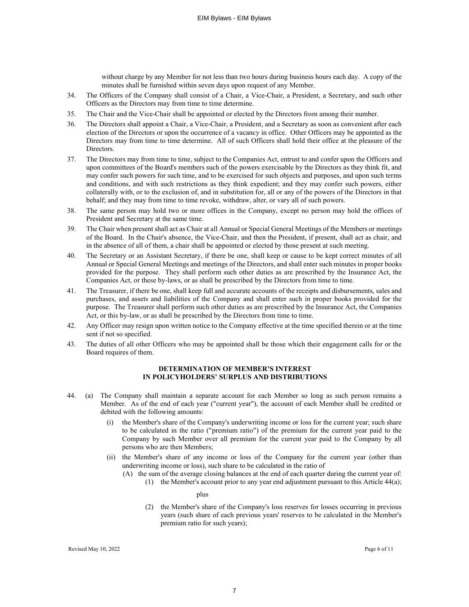without charge by any Member for not less than two hours during business hours each day. A copy of the minutes shall be furnished within seven days upon request of any Member.

- 34. The Officers of the Company shall consist of a Chair, a Vice-Chair, a President, a Secretary, and such other Officers as the Directors may from time to time determine.
- 35. The Chair and the Vice-Chair shall be appointed or elected by the Directors from among their number.
- 36. The Directors shall appoint a Chair, a Vice-Chair, a President, and a Secretary as soon as convenient after each election of the Directors or upon the occurrence of a vacancy in office. Other Officers may be appointed as the Directors may from time to time determine. All of such Officers shall hold their office at the pleasure of the Directors.
- 37. The Directors may from time to time, subject to the Companies Act, entrust to and confer upon the Officers and upon committees of the Board's members such of the powers exercisable by the Directors as they think fit, and may confer such powers for such time, and to be exercised for such objects and purposes, and upon such terms and conditions, and with such restrictions as they think expedient; and they may confer such powers, either collaterally with, or to the exclusion of, and in substitution for, all or any of the powers of the Directors in that behalf; and they may from time to time revoke, withdraw, alter, or vary all of such powers.
- 38. The same person may hold two or more offices in the Company, except no person may hold the offices of President and Secretary at the same time.
- 39. The Chair when present shall act as Chair at all Annual or Special General Meetings of the Members or meetings of the Board. In the Chair's absence, the Vice-Chair, and then the President, if present, shall act as chair, and in the absence of all of them, a chair shall be appointed or elected by those present at such meeting.
- 40. The Secretary or an Assistant Secretary, if there be one, shall keep or cause to be kept correct minutes of all Annual or Special General Meetings and meetings of the Directors, and shall enter such minutes in proper books provided for the purpose. They shall perform such other duties as are prescribed by the Insurance Act, the Companies Act, or these by-laws, or as shall be prescribed by the Directors from time to time.
- 41. The Treasurer, if there be one, shall keep full and accurate accounts of the receipts and disbursements, sales and purchases, and assets and liabilities of the Company and shall enter such in proper books provided for the purpose. The Treasurer shall perform such other duties as are prescribed by the Insurance Act, the Companies Act, or this by-law, or as shall be prescribed by the Directors from time to time.
- 42. Any Officer may resign upon written notice to the Company effective at the time specified therein or at the time sent if not so specified.
- 43. The duties of all other Officers who may be appointed shall be those which their engagement calls for or the Board requires of them.

#### **DETERMINATION OF MEMBER'S INTEREST IN POLICYHOLDERS' SURPLUS AND DISTRIBUTIONS**

- 44. (a) The Company shall maintain a separate account for each Member so long as such person remains a Member. As of the end of each year ("current year"), the account of each Member shall be credited or debited with the following amounts:
	- (i) the Member's share of the Company's underwriting income or loss for the current year; such share to be calculated in the ratio ("premium ratio") of the premium for the current year paid to the Company by such Member over all premium for the current year paid to the Company by all persons who are then Members;
	- (ii) the Member's share of any income or loss of the Company for the current year (other than underwriting income or loss), such share to be calculated in the ratio of
		- (A) the sum of the average closing balances at the end of each quarter during the current year of:
			- (1) the Member's account prior to any year end adjustment pursuant to this Article 44(a);

plus

(2) the Member's share of the Company's loss reserves for losses occurring in previous years (such share of each previous years' reserves to be calculated in the Member's premium ratio for such years);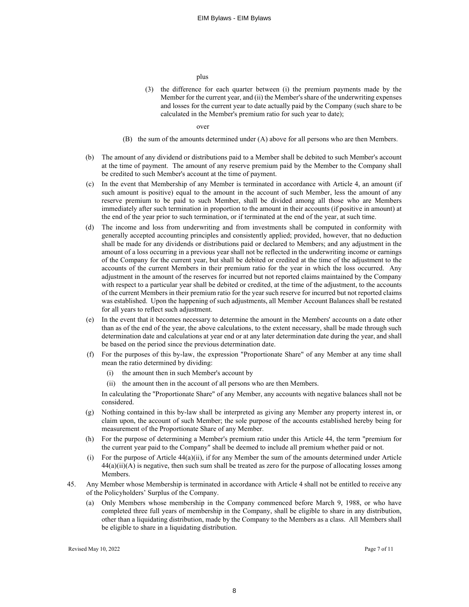plus

(3) the difference for each quarter between (i) the premium payments made by the Member for the current year, and (ii) the Member's share of the underwriting expenses and losses for the current year to date actually paid by the Company (such share to be calculated in the Member's premium ratio for such year to date);

over

- (B) the sum of the amounts determined under (A) above for all persons who are then Members.
- (b) The amount of any dividend or distributions paid to a Member shall be debited to such Member's account at the time of payment. The amount of any reserve premium paid by the Member to the Company shall be credited to such Member's account at the time of payment.
- (c) In the event that Membership of any Member is terminated in accordance with Article 4, an amount (if such amount is positive) equal to the amount in the account of such Member, less the amount of any reserve premium to be paid to such Member, shall be divided among all those who are Members immediately after such termination in proportion to the amount in their accounts (if positive in amount) at the end of the year prior to such termination, or if terminated at the end of the year, at such time.
- (d) The income and loss from underwriting and from investments shall be computed in conformity with generally accepted accounting principles and consistently applied; provided, however, that no deduction shall be made for any dividends or distributions paid or declared to Members; and any adjustment in the amount of a loss occurring in a previous year shall not be reflected in the underwriting income or earnings of the Company for the current year, but shall be debited or credited at the time of the adjustment to the accounts of the current Members in their premium ratio for the year in which the loss occurred. Any adjustment in the amount of the reserves for incurred but not reported claims maintained by the Company with respect to a particular year shall be debited or credited, at the time of the adjustment, to the accounts of the current Members in their premium ratio for the year such reserve for incurred but not reported claims was established. Upon the happening of such adjustments, all Member Account Balances shall be restated for all years to reflect such adjustment.
- (e) In the event that it becomes necessary to determine the amount in the Members' accounts on a date other than as of the end of the year, the above calculations, to the extent necessary, shall be made through such determination date and calculations at year end or at any later determination date during the year, and shall be based on the period since the previous determination date.
- (f) For the purposes of this by-law, the expression "Proportionate Share" of any Member at any time shall mean the ratio determined by dividing:
	- (i) the amount then in such Member's account by
	- (ii) the amount then in the account of all persons who are then Members.

In calculating the "Proportionate Share" of any Member, any accounts with negative balances shall not be considered.

- (g) Nothing contained in this by-law shall be interpreted as giving any Member any property interest in, or claim upon, the account of such Member; the sole purpose of the accounts established hereby being for measurement of the Proportionate Share of any Member.
- (h) For the purpose of determining a Member's premium ratio under this Article 44, the term "premium for the current year paid to the Company" shall be deemed to include all premium whether paid or not.
- (i) For the purpose of Article 44(a)(ii), if for any Member the sum of the amounts determined under Article  $44(a)(ii)(A)$  is negative, then such sum shall be treated as zero for the purpose of allocating losses among Members.
- 45. Any Member whose Membership is terminated in accordance with Article 4 shall not be entitled to receive any of the Policyholders' Surplus of the Company.
	- (a) Only Members whose membership in the Company commenced before March 9, 1988, or who have completed three full years of membership in the Company, shall be eligible to share in any distribution, other than a liquidating distribution, made by the Company to the Members as a class. All Members shall be eligible to share in a liquidating distribution.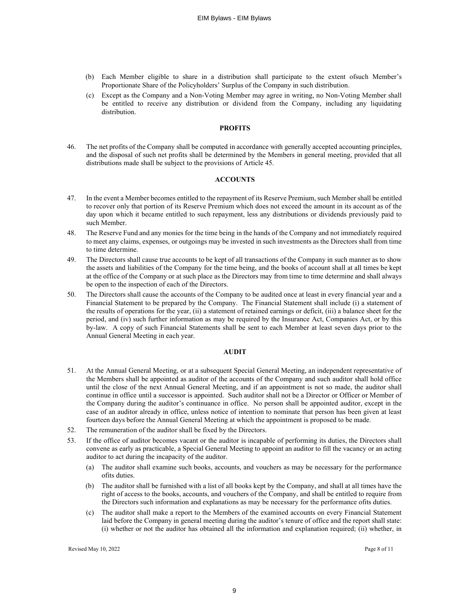- (b) Each Member eligible to share in a distribution shall participate to the extent ofsuch Member's Proportionate Share of the Policyholders' Surplus of the Company in such distribution.
- (c) Except as the Company and a Non-Voting Member may agree in writing, no Non-Voting Member shall be entitled to receive any distribution or dividend from the Company, including any liquidating distribution.

#### **PROFITS**

46. The net profits of the Company shall be computed in accordance with generally accepted accounting principles, and the disposal of such net profits shall be determined by the Members in general meeting, provided that all distributions made shall be subject to the provisions of Article 45.

## **ACCOUNTS**

- 47. In the event a Member becomes entitled to the repayment of its Reserve Premium, such Member shall be entitled to recover only that portion of its Reserve Premium which does not exceed the amount in its account as of the day upon which it became entitled to such repayment, less any distributions or dividends previously paid to such Member.
- 48. The Reserve Fund and any monies for the time being in the hands of the Company and not immediately required to meet any claims, expenses, or outgoings may be invested in such investments as the Directors shall from time to time determine.
- 49. The Directors shall cause true accounts to be kept of all transactions of the Company in such manner as to show the assets and liabilities of the Company for the time being, and the books of account shall at all times be kept at the office of the Company or at such place as the Directors may from time to time determine and shall always be open to the inspection of each of the Directors.
- 50. The Directors shall cause the accounts of the Company to be audited once at least in every financial year and a Financial Statement to be prepared by the Company. The Financial Statement shall include (i) a statement of the results of operations for the year, (ii) a statement of retained earnings or deficit, (iii) a balance sheet for the period, and (iv) such further information as may be required by the Insurance Act, Companies Act, or by this by-law. A copy of such Financial Statements shall be sent to each Member at least seven days prior to the Annual General Meeting in each year.

#### **AUDIT**

- 51. At the Annual General Meeting, or at a subsequent Special General Meeting, an independent representative of the Members shall be appointed as auditor of the accounts of the Company and such auditor shall hold office until the close of the next Annual General Meeting, and if an appointment is not so made, the auditor shall continue in office until a successor is appointed. Such auditor shall not be a Director or Officer or Member of the Company during the auditor's continuance in office. No person shall be appointed auditor, except in the case of an auditor already in office, unless notice of intention to nominate that person has been given at least fourteen days before the Annual General Meeting at which the appointment is proposed to be made.
- 52. The remuneration of the auditor shall be fixed by the Directors.
- 53. If the office of auditor becomes vacant or the auditor is incapable of performing its duties, the Directors shall convene as early as practicable, a Special General Meeting to appoint an auditor to fill the vacancy or an acting auditor to act during the incapacity of the auditor.
	- (a) The auditor shall examine such books, accounts, and vouchers as may be necessary for the performance ofits duties.
	- (b) The auditor shall be furnished with a list of all books kept by the Company, and shall at all times have the right of access to the books, accounts, and vouchers of the Company, and shall be entitled to require from the Directors such information and explanations as may be necessary for the performance ofits duties.
	- (c) The auditor shall make a report to the Members of the examined accounts on every Financial Statement laid before the Company in general meeting during the auditor's tenure of office and the report shall state: (i) whether or not the auditor has obtained all the information and explanation required; (ii) whether, in

Revised May 10, 2022 Page 8 of 11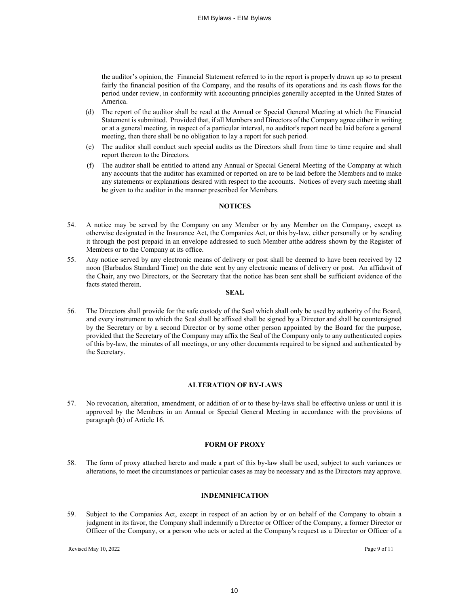the auditor's opinion, the Financial Statement referred to in the report is properly drawn up so to present fairly the financial position of the Company, and the results of its operations and its cash flows for the period under review, in conformity with accounting principles generally accepted in the United States of America.

- (d) The report of the auditor shall be read at the Annual or Special General Meeting at which the Financial Statement is submitted. Provided that, if all Members and Directors of the Company agree either in writing or at a general meeting, in respect of a particular interval, no auditor's report need be laid before a general meeting, then there shall be no obligation to lay a report for such period.
- (e) The auditor shall conduct such special audits as the Directors shall from time to time require and shall report thereon to the Directors.
- (f) The auditor shall be entitled to attend any Annual or Special General Meeting of the Company at which any accounts that the auditor has examined or reported on are to be laid before the Members and to make any statements or explanations desired with respect to the accounts. Notices of every such meeting shall be given to the auditor in the manner prescribed for Members.

#### **NOTICES**

- 54. A notice may be served by the Company on any Member or by any Member on the Company, except as otherwise designated in the Insurance Act, the Companies Act, or this by-law, either personally or by sending it through the post prepaid in an envelope addressed to such Member atthe address shown by the Register of Members or to the Company at its office.
- 55. Any notice served by any electronic means of delivery or post shall be deemed to have been received by 12 noon (Barbados Standard Time) on the date sent by any electronic means of delivery or post. An affidavit of the Chair, any two Directors, or the Secretary that the notice has been sent shall be sufficient evidence of the facts stated therein.

# **SEAL**

56. The Directors shall provide for the safe custody of the Seal which shall only be used by authority of the Board, and every instrument to which the Seal shall be affixed shall be signed by a Director and shall be countersigned by the Secretary or by a second Director or by some other person appointed by the Board for the purpose, provided that the Secretary of the Company may affix the Seal of the Company only to any authenticated copies of this by-law, the minutes of all meetings, or any other documents required to be signed and authenticated by the Secretary.

## **ALTERATION OF BY-LAWS**

57. No revocation, alteration, amendment, or addition of or to these by-laws shall be effective unless or until it is approved by the Members in an Annual or Special General Meeting in accordance with the provisions of paragraph (b) of Article 16.

#### **FORM OF PROXY**

58. The form of proxy attached hereto and made a part of this by-law shall be used, subject to such variances or alterations, to meet the circumstances or particular cases as may be necessary and as the Directors may approve.

## **INDEMNIFICATION**

59. Subject to the Companies Act, except in respect of an action by or on behalf of the Company to obtain a judgment in its favor, the Company shall indemnify a Director or Officer of the Company, a former Director or Officer of the Company, or a person who acts or acted at the Company's request as a Director or Officer of a

Revised May 10, 2022 Page 9 of 11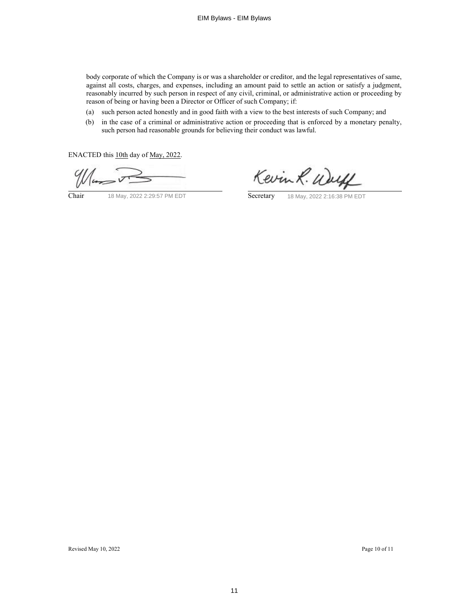body corporate of which the Company is or was a shareholder or creditor, and the legal representatives of same, against all costs, charges, and expenses, including an amount paid to settle an action or satisfy a judgment, reasonably incurred by such person in respect of any civil, criminal, or administrative action or proceeding by reason of being or having been a Director or Officer of such Company; if:

- (a) such person acted honestly and in good faith with a view to the best interests of such Company; and
- (b) in the case of a criminal or administrative action or proceeding that is enforced by a monetary penalty, such person had reasonable grounds for believing their conduct was lawful.

ENACTED this 10th day of May, 2022.

 $\frac{d}{dx}$ 

Kevin R. Wall

Chair 18 May, 2022 2:29:57 PM EDT Secretary 18 May, 2022 2:16:38 PM EDT